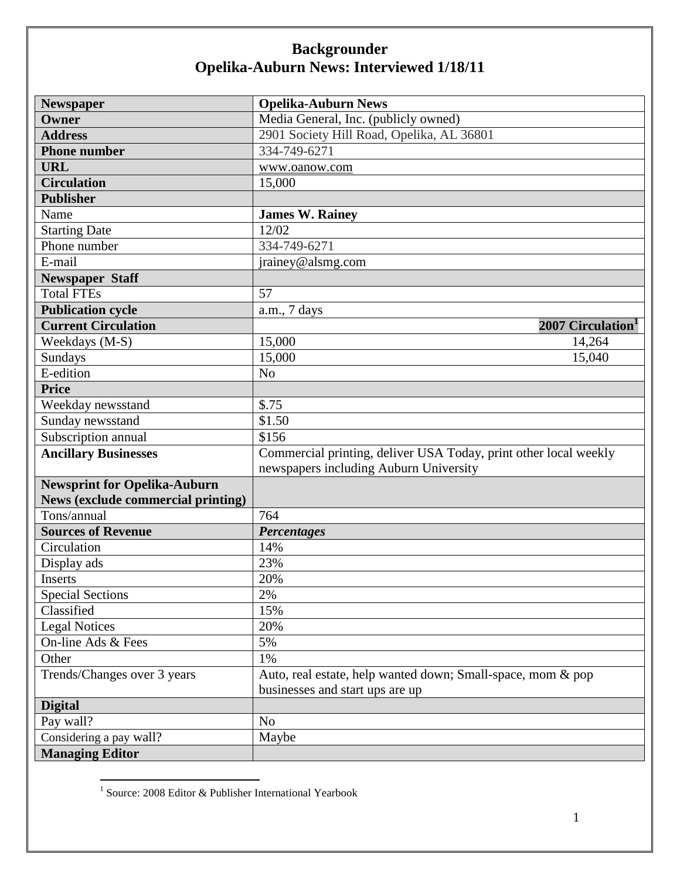| <b>Newspaper</b>                          | <b>Opelika-Auburn News</b>                                       |
|-------------------------------------------|------------------------------------------------------------------|
| Owner                                     | Media General, Inc. (publicly owned)                             |
| <b>Address</b>                            | 2901 Society Hill Road, Opelika, AL 36801                        |
| <b>Phone number</b>                       | 334-749-6271                                                     |
| <b>URL</b>                                | www.oanow.com                                                    |
| <b>Circulation</b>                        | 15,000                                                           |
| <b>Publisher</b>                          |                                                                  |
| Name                                      | <b>James W. Rainey</b>                                           |
| <b>Starting Date</b>                      | 12/02                                                            |
| Phone number                              | 334-749-6271                                                     |
| E-mail                                    | jrainey@alsmg.com                                                |
| <b>Newspaper Staff</b>                    |                                                                  |
| <b>Total FTEs</b>                         | 57                                                               |
| <b>Publication cycle</b>                  | a.m., 7 days                                                     |
| <b>Current Circulation</b>                | 2007 Circulation <sup>1</sup>                                    |
| Weekdays (M-S)                            | 15,000<br>14,264                                                 |
| Sundays                                   | 15,000<br>15,040                                                 |
| E-edition                                 | N <sub>o</sub>                                                   |
| <b>Price</b>                              |                                                                  |
| Weekday newsstand                         | \$.75                                                            |
| Sunday newsstand                          | \$1.50                                                           |
| Subscription annual                       | \$156                                                            |
| <b>Ancillary Businesses</b>               | Commercial printing, deliver USA Today, print other local weekly |
|                                           | newspapers including Auburn University                           |
| <b>Newsprint for Opelika-Auburn</b>       |                                                                  |
| <b>News (exclude commercial printing)</b> |                                                                  |
| Tons/annual                               | 764                                                              |
| <b>Sources of Revenue</b>                 | <b>Percentages</b>                                               |
| Circulation                               | 14%                                                              |
| Display ads                               | 23%                                                              |
| Inserts                                   | 20%                                                              |
| <b>Special Sections</b>                   | 2%                                                               |
| Classified                                | 15%                                                              |
| <b>Legal Notices</b>                      | 20%                                                              |
| On-line Ads & Fees                        | 5%                                                               |
| Other                                     | 1%                                                               |
| Trends/Changes over 3 years               | Auto, real estate, help wanted down; Small-space, mom & pop      |
|                                           | businesses and start ups are up                                  |
| <b>Digital</b>                            |                                                                  |
| Pay wall?                                 | N <sub>0</sub>                                                   |
| Considering a pay wall?                   | Maybe                                                            |
| <b>Managing Editor</b>                    |                                                                  |

 1 Source: 2008 Editor & Publisher International Yearbook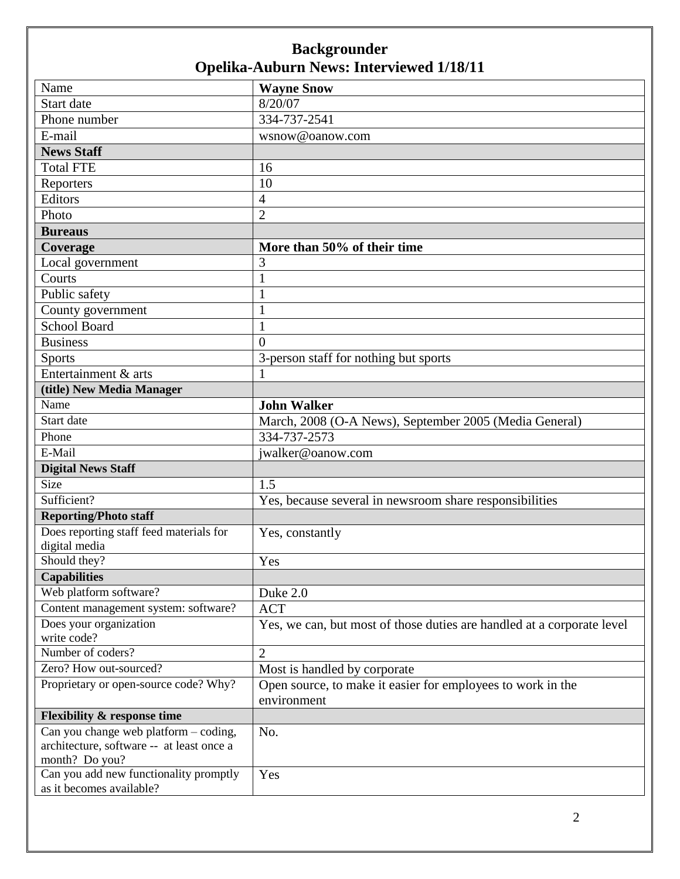| Name                                                     | <b>Wayne Snow</b>                                                          |
|----------------------------------------------------------|----------------------------------------------------------------------------|
| Start date                                               | 8/20/07                                                                    |
| Phone number                                             | 334-737-2541                                                               |
| E-mail                                                   | wsnow@oanow.com                                                            |
| <b>News Staff</b>                                        |                                                                            |
| <b>Total FTE</b>                                         | 16                                                                         |
| Reporters                                                | 10                                                                         |
| Editors                                                  | $\overline{4}$                                                             |
| Photo                                                    | $\overline{2}$                                                             |
| <b>Bureaus</b>                                           |                                                                            |
| Coverage                                                 | More than 50% of their time                                                |
| Local government                                         | 3                                                                          |
| Courts                                                   | 1                                                                          |
| Public safety                                            | 1                                                                          |
| County government                                        | $\mathbf{1}$                                                               |
| <b>School Board</b>                                      | $\mathbf{1}$                                                               |
| <b>Business</b>                                          | $\theta$                                                                   |
| <b>Sports</b>                                            | 3-person staff for nothing but sports                                      |
| Entertainment & arts                                     | 1                                                                          |
| (title) New Media Manager                                |                                                                            |
| Name                                                     | <b>John Walker</b>                                                         |
| Start date                                               | March, 2008 (O-A News), September 2005 (Media General)                     |
| Phone                                                    | 334-737-2573                                                               |
| E-Mail                                                   | jwalker@oanow.com                                                          |
| <b>Digital News Staff</b>                                |                                                                            |
| Size                                                     | 1.5                                                                        |
| Sufficient?                                              | Yes, because several in newsroom share responsibilities                    |
| <b>Reporting/Photo staff</b>                             |                                                                            |
| Does reporting staff feed materials for<br>digital media | Yes, constantly                                                            |
| Should they?                                             | Yes                                                                        |
| <b>Capabilities</b>                                      |                                                                            |
| Web platform software?                                   | Duke 2.0                                                                   |
| Content management system: software?                     | <b>ACT</b>                                                                 |
| Does your organization                                   | Yes, we can, but most of those duties are handled at a corporate level     |
| write code?                                              |                                                                            |
| Number of coders?                                        | $\overline{2}$                                                             |
| Zero? How out-sourced?                                   | Most is handled by corporate                                               |
| Proprietary or open-source code? Why?                    | Open source, to make it easier for employees to work in the<br>environment |
| <b>Flexibility &amp; response time</b>                   |                                                                            |
| Can you change web platform – coding,                    | No.                                                                        |
| architecture, software -- at least once a                |                                                                            |
| month? Do you?                                           |                                                                            |
| Can you add new functionality promptly                   | Yes                                                                        |
| as it becomes available?                                 |                                                                            |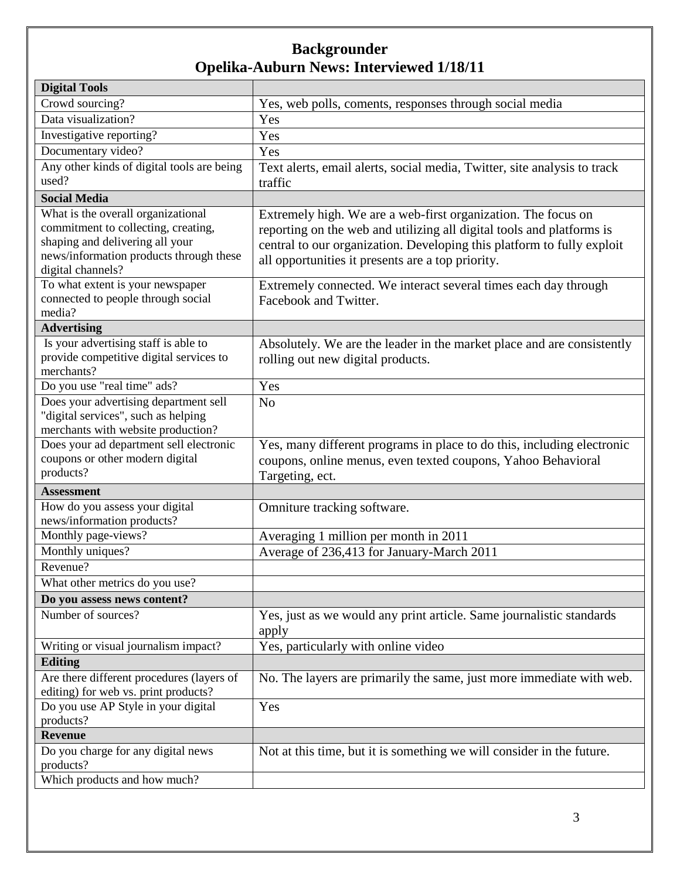| <b>Digital Tools</b>                                                                                                                                                                                             |                                                                                                                                                                                                                                                                                                                                          |
|------------------------------------------------------------------------------------------------------------------------------------------------------------------------------------------------------------------|------------------------------------------------------------------------------------------------------------------------------------------------------------------------------------------------------------------------------------------------------------------------------------------------------------------------------------------|
| Crowd sourcing?                                                                                                                                                                                                  | Yes, web polls, coments, responses through social media                                                                                                                                                                                                                                                                                  |
| Data visualization?                                                                                                                                                                                              | Yes                                                                                                                                                                                                                                                                                                                                      |
| Investigative reporting?                                                                                                                                                                                         | Yes                                                                                                                                                                                                                                                                                                                                      |
| Documentary video?                                                                                                                                                                                               | Yes                                                                                                                                                                                                                                                                                                                                      |
| Any other kinds of digital tools are being                                                                                                                                                                       | Text alerts, email alerts, social media, Twitter, site analysis to track                                                                                                                                                                                                                                                                 |
| used?                                                                                                                                                                                                            | traffic                                                                                                                                                                                                                                                                                                                                  |
| <b>Social Media</b>                                                                                                                                                                                              |                                                                                                                                                                                                                                                                                                                                          |
| What is the overall organizational<br>commitment to collecting, creating,<br>shaping and delivering all your<br>news/information products through these<br>digital channels?<br>To what extent is your newspaper | Extremely high. We are a web-first organization. The focus on<br>reporting on the web and utilizing all digital tools and platforms is<br>central to our organization. Developing this platform to fully exploit<br>all opportunities it presents are a top priority.<br>Extremely connected. We interact several times each day through |
| connected to people through social<br>media?                                                                                                                                                                     | Facebook and Twitter.                                                                                                                                                                                                                                                                                                                    |
| <b>Advertising</b>                                                                                                                                                                                               |                                                                                                                                                                                                                                                                                                                                          |
| Is your advertising staff is able to<br>provide competitive digital services to<br>merchants?                                                                                                                    | Absolutely. We are the leader in the market place and are consistently<br>rolling out new digital products.                                                                                                                                                                                                                              |
| Do you use "real time" ads?                                                                                                                                                                                      | Yes                                                                                                                                                                                                                                                                                                                                      |
| Does your advertising department sell<br>"digital services", such as helping<br>merchants with website production?                                                                                               | N <sub>o</sub>                                                                                                                                                                                                                                                                                                                           |
| Does your ad department sell electronic<br>coupons or other modern digital<br>products?                                                                                                                          | Yes, many different programs in place to do this, including electronic<br>coupons, online menus, even texted coupons, Yahoo Behavioral<br>Targeting, ect.                                                                                                                                                                                |
| <b>Assessment</b>                                                                                                                                                                                                |                                                                                                                                                                                                                                                                                                                                          |
| How do you assess your digital<br>news/information products?                                                                                                                                                     | Omniture tracking software.                                                                                                                                                                                                                                                                                                              |
| Monthly page-views?                                                                                                                                                                                              | Averaging 1 million per month in 2011                                                                                                                                                                                                                                                                                                    |
| Monthly uniques?                                                                                                                                                                                                 | Average of 236,413 for January-March 2011                                                                                                                                                                                                                                                                                                |
| Revenue?                                                                                                                                                                                                         |                                                                                                                                                                                                                                                                                                                                          |
| What other metrics do you use?                                                                                                                                                                                   |                                                                                                                                                                                                                                                                                                                                          |
| Do you assess news content?                                                                                                                                                                                      |                                                                                                                                                                                                                                                                                                                                          |
| Number of sources?                                                                                                                                                                                               | Yes, just as we would any print article. Same journalistic standards<br>apply                                                                                                                                                                                                                                                            |
| Writing or visual journalism impact?                                                                                                                                                                             | Yes, particularly with online video                                                                                                                                                                                                                                                                                                      |
| <b>Editing</b>                                                                                                                                                                                                   |                                                                                                                                                                                                                                                                                                                                          |
| Are there different procedures (layers of<br>editing) for web vs. print products?                                                                                                                                | No. The layers are primarily the same, just more immediate with web.                                                                                                                                                                                                                                                                     |
| Do you use AP Style in your digital<br>products?                                                                                                                                                                 | Yes                                                                                                                                                                                                                                                                                                                                      |
| <b>Revenue</b>                                                                                                                                                                                                   |                                                                                                                                                                                                                                                                                                                                          |
| Do you charge for any digital news<br>products?                                                                                                                                                                  | Not at this time, but it is something we will consider in the future.                                                                                                                                                                                                                                                                    |
| Which products and how much?                                                                                                                                                                                     |                                                                                                                                                                                                                                                                                                                                          |